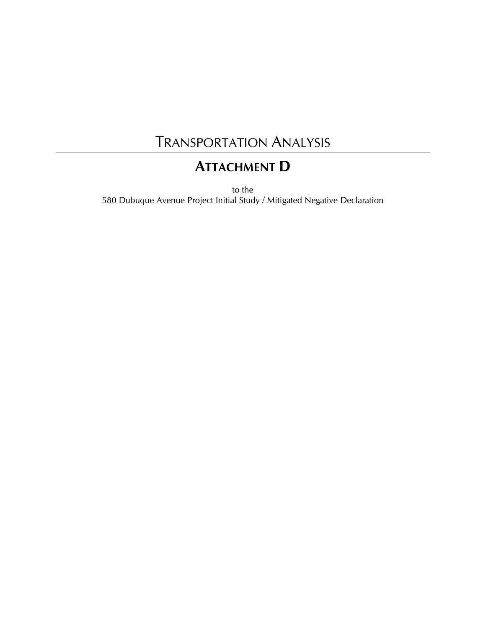### TRANSPORTATION ANALYSIS

### **ATTACHMENT D**

to the 580 Dubuque Avenue Project Initial Study / Mitigated Negative Declaration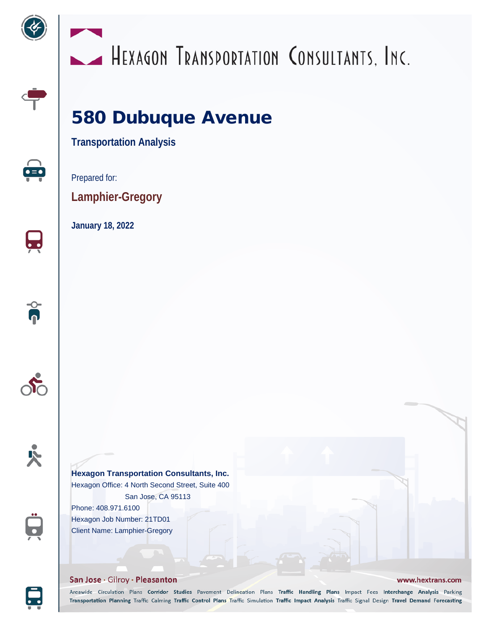



# HEXAGON TRANSPORTATION CONSULTANTS, INC.

## 580 Dubuque Avenue

**Transportation Analysis**



 $\overline{\phantom{a}}$ 

 $\theta$ 

Prepared for:

**Lamphier-Gregory**

**January 18, 2022**





 $\bullet$ 

### **Hexagon Transportation Consultants, Inc.**

Hexagon Office: 4 North Second Street, Suite 400 San Jose, CA 95113 Phone: 408.971.6100 Hexagon Job Number: 21TD01

Client Name: Lamphier-Gregory

#### San Jose · Gilroy · Pleasanton

#### www.hextrans.com

Areawide Circulation Plans Corridor Studies Pavement Delineation Plans Traffic Handling Plans Impact Fees Interchange Analysis Parking Transportation Planning Traffic Calming Traffic Control Plans Traffic Simulation Traffic Impact Analysis Traffic Signal Design Travel Demand Forecasting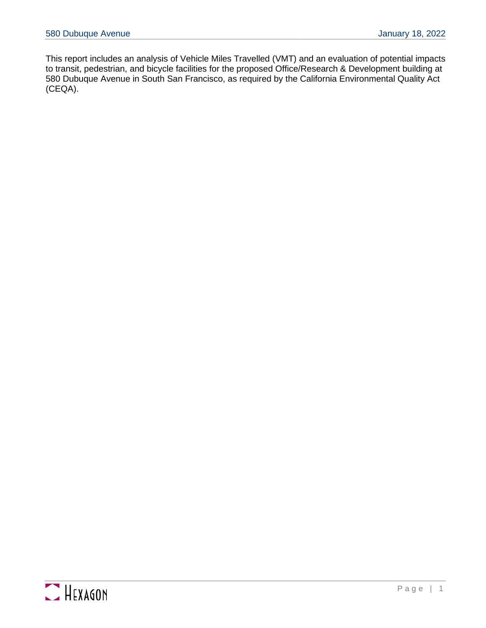This report includes an analysis of Vehicle Miles Travelled (VMT) and an evaluation of potential impacts to transit, pedestrian, and bicycle facilities for the proposed Office/Research & Development building at 580 Dubuque Avenue in South San Francisco, as required by the California Environmental Quality Act (CEQA).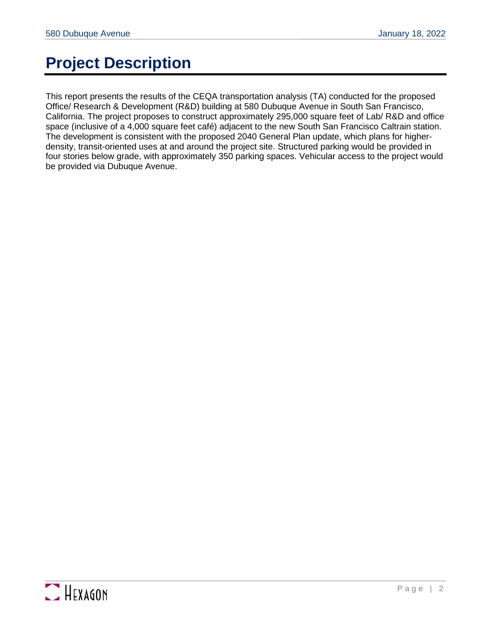### **Project Description**

This report presents the results of the CEQA transportation analysis (TA) conducted for the proposed Office/ Research & Development (R&D) building at 580 Dubuque Avenue in South San Francisco, California. The project proposes to construct approximately 295,000 square feet of Lab/ R&D and office space (inclusive of a 4,000 square feet café) adjacent to the new South San Francisco Caltrain station. The development is consistent with the proposed 2040 General Plan update, which plans for higherdensity, transit-oriented uses at and around the project site. Structured parking would be provided in four stories below grade, with approximately 350 parking spaces. Vehicular access to the project would be provided via Dubuque Avenue.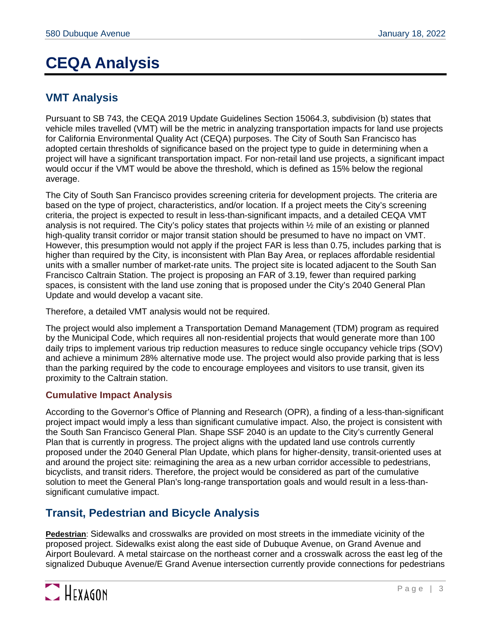### **CEQA Analysis**

### **VMT Analysis**

Pursuant to SB 743, the CEQA 2019 Update Guidelines Section 15064.3, subdivision (b) states that vehicle miles travelled (VMT) will be the metric in analyzing transportation impacts for land use projects for California Environmental Quality Act (CEQA) purposes. The City of South San Francisco has adopted certain thresholds of significance based on the project type to guide in determining when a project will have a significant transportation impact. For non-retail land use projects, a significant impact would occur if the VMT would be above the threshold, which is defined as 15% below the regional average.

The City of South San Francisco provides screening criteria for development projects. The criteria are based on the type of project, characteristics, and/or location. If a project meets the City's screening criteria, the project is expected to result in less-than-significant impacts, and a detailed CEQA VMT analysis is not required. The City's policy states that projects within ½ mile of an existing or planned high-quality transit corridor or major transit station should be presumed to have no impact on VMT. However, this presumption would not apply if the project FAR is less than 0.75, includes parking that is higher than required by the City, is inconsistent with Plan Bay Area, or replaces affordable residential units with a smaller number of market-rate units. The project site is located adjacent to the South San Francisco Caltrain Station. The project is proposing an FAR of 3.19, fewer than required parking spaces, is consistent with the land use zoning that is proposed under the City's 2040 General Plan Update and would develop a vacant site.

Therefore, a detailed VMT analysis would not be required.

The project would also implement a Transportation Demand Management (TDM) program as required by the Municipal Code, which requires all non-residential projects that would generate more than 100 daily trips to implement various trip reduction measures to reduce single occupancy vehicle trips (SOV) and achieve a minimum 28% alternative mode use. The project would also provide parking that is less than the parking required by the code to encourage employees and visitors to use transit, given its proximity to the Caltrain station.

#### **Cumulative Impact Analysis**

According to the Governor's Office of Planning and Research (OPR), a finding of a less-than-significant project impact would imply a less than significant cumulative impact. Also, the project is consistent with the South San Francisco General Plan. Shape SSF 2040 is an update to the City's currently General Plan that is currently in progress. The project aligns with the updated land use controls currently proposed under the 2040 General Plan Update, which plans for higher-density, transit-oriented uses at and around the project site: reimagining the area as a new urban corridor accessible to pedestrians, bicyclists, and transit riders. Therefore, the project would be considered as part of the cumulative solution to meet the General Plan's long-range transportation goals and would result in a less-thansignificant cumulative impact.

#### **Transit, Pedestrian and Bicycle Analysis**

**Pedestrian**: Sidewalks and crosswalks are provided on most streets in the immediate vicinity of the proposed project. Sidewalks exist along the east side of Dubuque Avenue, on Grand Avenue and Airport Boulevard. A metal staircase on the northeast corner and a crosswalk across the east leg of the signalized Dubuque Avenue/E Grand Avenue intersection currently provide connections for pedestrians

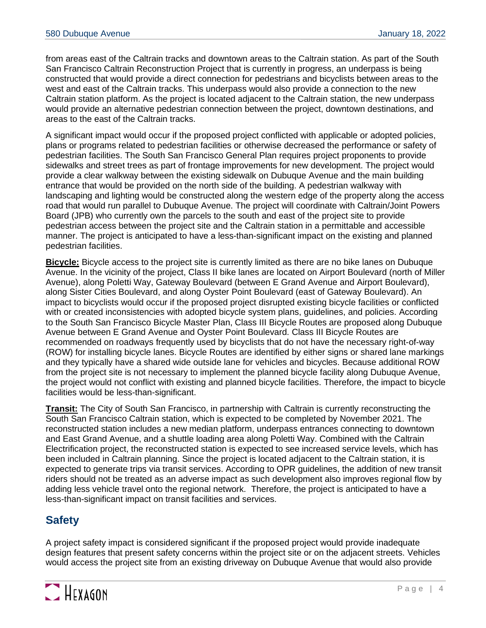from areas east of the Caltrain tracks and downtown areas to the Caltrain station. As part of the South San Francisco Caltrain Reconstruction Project that is currently in progress, an underpass is being constructed that would provide a direct connection for pedestrians and bicyclists between areas to the west and east of the Caltrain tracks. This underpass would also provide a connection to the new Caltrain station platform. As the project is located adjacent to the Caltrain station, the new underpass would provide an alternative pedestrian connection between the project, downtown destinations, and areas to the east of the Caltrain tracks.

A significant impact would occur if the proposed project conflicted with applicable or adopted policies, plans or programs related to pedestrian facilities or otherwise decreased the performance or safety of pedestrian facilities. The South San Francisco General Plan requires project proponents to provide sidewalks and street trees as part of frontage improvements for new development. The project would provide a clear walkway between the existing sidewalk on Dubuque Avenue and the main building entrance that would be provided on the north side of the building. A pedestrian walkway with landscaping and lighting would be constructed along the western edge of the property along the access road that would run parallel to Dubuque Avenue. The project will coordinate with Caltrain/Joint Powers Board (JPB) who currently own the parcels to the south and east of the project site to provide pedestrian access between the project site and the Caltrain station in a permittable and accessible manner. The project is anticipated to have a less-than-significant impact on the existing and planned pedestrian facilities.

**Bicycle:** Bicycle access to the project site is currently limited as there are no bike lanes on Dubuque Avenue. In the vicinity of the project, Class II bike lanes are located on Airport Boulevard (north of Miller Avenue), along Poletti Way, Gateway Boulevard (between E Grand Avenue and Airport Boulevard), along Sister Cities Boulevard, and along Oyster Point Boulevard (east of Gateway Boulevard). An impact to bicyclists would occur if the proposed project disrupted existing bicycle facilities or conflicted with or created inconsistencies with adopted bicycle system plans, guidelines, and policies. According to the South San Francisco Bicycle Master Plan, Class III Bicycle Routes are proposed along Dubuque Avenue between E Grand Avenue and Oyster Point Boulevard. Class III Bicycle Routes are recommended on roadways frequently used by bicyclists that do not have the necessary right-of-way (ROW) for installing bicycle lanes. Bicycle Routes are identified by either signs or shared lane markings and they typically have a shared wide outside lane for vehicles and bicycles. Because additional ROW from the project site is not necessary to implement the planned bicycle facility along Dubuque Avenue, the project would not conflict with existing and planned bicycle facilities. Therefore, the impact to bicycle facilities would be less-than-significant.

**Transit:** The City of South San Francisco, in partnership with Caltrain is currently reconstructing the South San Francisco Caltrain station, which is expected to be completed by November 2021. The reconstructed station includes a new median platform, underpass entrances connecting to downtown and East Grand Avenue, and a shuttle loading area along Poletti Way. Combined with the Caltrain Electrification project, the reconstructed station is expected to see increased service levels, which has been included in Caltrain planning. Since the project is located adjacent to the Caltrain station, it is expected to generate trips via transit services. According to OPR guidelines, the addition of new transit riders should not be treated as an adverse impact as such development also improves regional flow by adding less vehicle travel onto the regional network. Therefore, the project is anticipated to have a less-than-significant impact on transit facilities and services.

### **Safety**

A project safety impact is considered significant if the proposed project would provide inadequate design features that present safety concerns within the project site or on the adjacent streets. Vehicles would access the project site from an existing driveway on Dubuque Avenue that would also provide

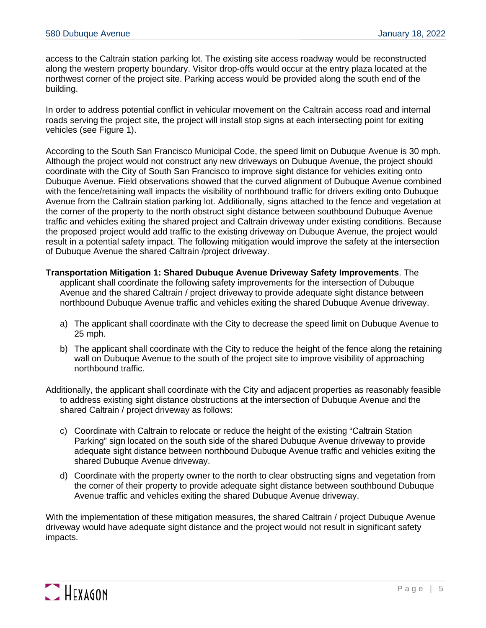access to the Caltrain station parking lot. The existing site access roadway would be reconstructed along the western property boundary. Visitor drop-offs would occur at the entry plaza located at the northwest corner of the project site. Parking access would be provided along the south end of the building.

In order to address potential conflict in vehicular movement on the Caltrain access road and internal roads serving the project site, the project will install stop signs at each intersecting point for exiting vehicles (see Figure 1).

According to the South San Francisco Municipal Code, the speed limit on Dubuque Avenue is 30 mph. Although the project would not construct any new driveways on Dubuque Avenue, the project should coordinate with the City of South San Francisco to improve sight distance for vehicles exiting onto Dubuque Avenue. Field observations showed that the curved alignment of Dubuque Avenue combined with the fence/retaining wall impacts the visibility of northbound traffic for drivers exiting onto Dubuque Avenue from the Caltrain station parking lot. Additionally, signs attached to the fence and vegetation at the corner of the property to the north obstruct sight distance between southbound Dubuque Avenue traffic and vehicles exiting the shared project and Caltrain driveway under existing conditions. Because the proposed project would add traffic to the existing driveway on Dubuque Avenue, the project would result in a potential safety impact. The following mitigation would improve the safety at the intersection of Dubuque Avenue the shared Caltrain /project driveway.

**Transportation Mitigation 1: Shared Dubuque Avenue Driveway Safety Improvements**. The applicant shall coordinate the following safety improvements for the intersection of Dubuque Avenue and the shared Caltrain / project driveway to provide adequate sight distance between northbound Dubuque Avenue traffic and vehicles exiting the shared Dubuque Avenue driveway.

- a) The applicant shall coordinate with the City to decrease the speed limit on Dubuque Avenue to 25 mph.
- b) The applicant shall coordinate with the City to reduce the height of the fence along the retaining wall on Dubuque Avenue to the south of the project site to improve visibility of approaching northbound traffic.
- Additionally, the applicant shall coordinate with the City and adjacent properties as reasonably feasible to address existing sight distance obstructions at the intersection of Dubuque Avenue and the shared Caltrain / project driveway as follows:
	- c) Coordinate with Caltrain to relocate or reduce the height of the existing "Caltrain Station Parking" sign located on the south side of the shared Dubuque Avenue driveway to provide adequate sight distance between northbound Dubuque Avenue traffic and vehicles exiting the shared Dubuque Avenue driveway.
	- d) Coordinate with the property owner to the north to clear obstructing signs and vegetation from the corner of their property to provide adequate sight distance between southbound Dubuque Avenue traffic and vehicles exiting the shared Dubuque Avenue driveway.

With the implementation of these mitigation measures, the shared Caltrain / project Dubuque Avenue driveway would have adequate sight distance and the project would not result in significant safety impacts.

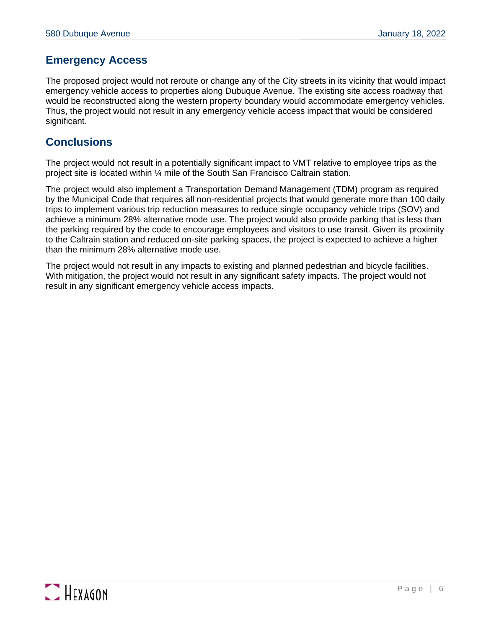### **Emergency Access**

The proposed project would not reroute or change any of the City streets in its vicinity that would impact emergency vehicle access to properties along Dubuque Avenue. The existing site access roadway that would be reconstructed along the western property boundary would accommodate emergency vehicles. Thus, the project would not result in any emergency vehicle access impact that would be considered significant.

#### **Conclusions**

The project would not result in a potentially significant impact to VMT relative to employee trips as the project site is located within ¼ mile of the South San Francisco Caltrain station.

The project would also implement a Transportation Demand Management (TDM) program as required by the Municipal Code that requires all non-residential projects that would generate more than 100 daily trips to implement various trip reduction measures to reduce single occupancy vehicle trips (SOV) and achieve a minimum 28% alternative mode use. The project would also provide parking that is less than the parking required by the code to encourage employees and visitors to use transit. Given its proximity to the Caltrain station and reduced on-site parking spaces, the project is expected to achieve a higher than the minimum 28% alternative mode use.

The project would not result in any impacts to existing and planned pedestrian and bicycle facilities. With mitigation, the project would not result in any significant safety impacts. The project would not result in any significant emergency vehicle access impacts.